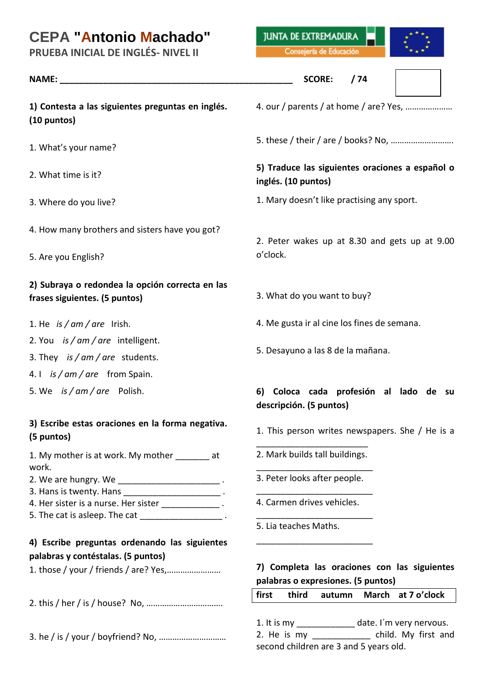# **CEPA "Antonio Machado"**

**PRUEBA INICIAL DE INGLÉS- NIVEL II**

**1) Contesta a las siguientes preguntas en inglés. (10 puntos)**

- 1. What's your name?
- 2. What time is it?
- 3. Where do you live?
- 4. How many brothers and sisters have you got?
- 5. Are you English?

### **2) Subraya o redondea la opción correcta en las frases siguientes. (5 puntos)**

- 1. He *is / am / are* Irish.
- 2. You *is / am / are* intelligent.
- 3. They *is / am / are* students.
- 4. I *is / am / are* from Spain.
- 5. We *is / am / are* Polish.

#### **3) Escribe estas oraciones en la forma negativa. (5 puntos)**

1. My mother is at work. My mother at work.

- 2. We are hungry. We \_\_\_\_\_\_\_\_\_\_\_\_\_\_\_\_\_\_\_\_\_\_\_\_\_\_.
- 3. Hans is twenty. Hans **Example 2.** 4. Her sister is a nurse. Her sister **All and Strutter** .
- 5. The cat is asleep. The cat \_\_\_\_\_\_\_\_\_\_\_\_\_\_\_\_\_\_\_\_\_\_.

# **4) Escribe preguntas ordenando las siguientes palabras y contéstalas. (5 puntos)**

1. those / your / friends / are? Yes,……………………

2. this / her / is / house? No, …………………………….

3. he / is / your / boyfriend? No, …………………………

**JUNTA DE EXTREMADURA** 

Consejería de Educación



#### **NAME: \_\_\_\_\_\_\_\_\_\_\_\_\_\_\_\_\_\_\_\_\_\_\_\_\_\_\_\_\_\_\_\_\_\_\_\_\_\_\_\_\_\_\_\_\_\_\_\_ SCORE: / 74**



- 4. our / parents / at home / are? Yes, …………………
- 5. these / their / are / books? No, ……………………….

# **5) Traduce las siguientes oraciones a español o inglés. (10 puntos)**

1. Mary doesn't like practising any sport.

2. Peter wakes up at 8.30 and gets up at 9.00 o'clock.

- 3. What do you want to buy?
- 4. Me gusta ir al cine los fines de semana.
- 5. Desayuno a las 8 de la mañana.

## **6) Coloca cada profesión al lado de su descripción. (5 puntos)**

1. This person writes newspapers. She / He is a

\_\_\_\_\_\_\_\_\_\_\_\_\_\_\_\_\_\_\_\_\_\_\_ 2. Mark builds tall buildings.

- \_\_\_\_\_\_\_\_\_\_\_\_\_\_\_\_\_\_\_\_\_\_\_\_ 3. Peter looks after people. \_\_\_\_\_\_\_\_\_\_\_\_\_\_\_\_\_\_\_\_\_\_\_\_
- 4. Carmen drives vehicles.

\_\_\_\_\_\_\_\_\_\_\_\_\_\_\_\_\_\_\_\_\_\_\_\_

\_\_\_\_\_\_\_\_\_\_\_\_\_\_\_\_\_\_\_\_\_\_\_\_

5. Lia teaches Maths.

## **7) Completa las oraciones con las siguientes palabras o expresiones. (5 puntos)**

| first       |             | third autumn March at 7 o'clock        |  |                     |  |  |
|-------------|-------------|----------------------------------------|--|---------------------|--|--|
|             |             |                                        |  |                     |  |  |
| 1. It is my |             | date. I'm very nervous.                |  |                     |  |  |
|             | 2. He is my |                                        |  | child. My first and |  |  |
|             |             | second children are 3 and 5 years old. |  |                     |  |  |